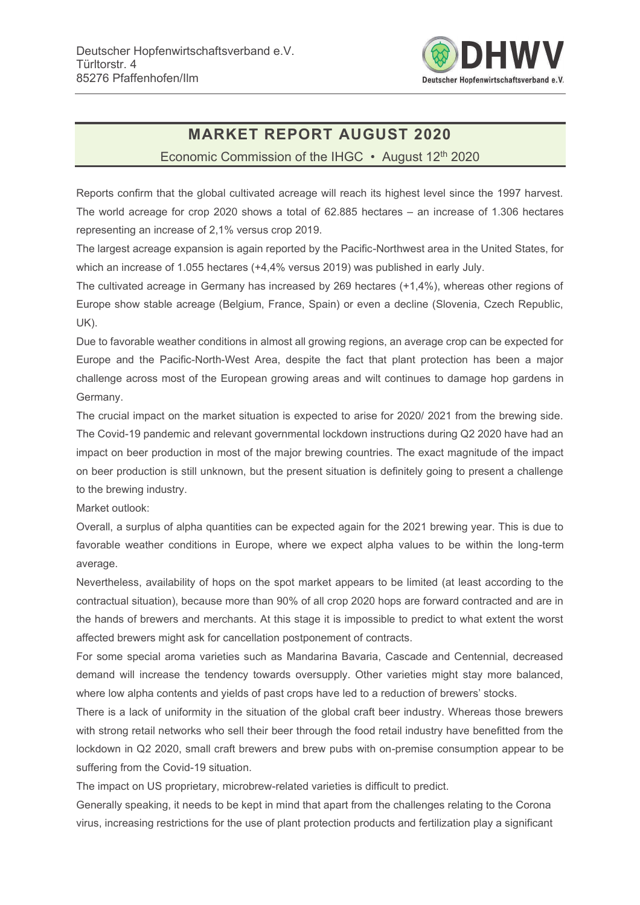

## **MARKET REPORT AUGUST 2020** Economic Commission of the IHGC • August 12<sup>th</sup> 2020

Reports confirm that the global cultivated acreage will reach its highest level since the 1997 harvest. The world acreage for crop 2020 shows a total of 62.885 hectares – an increase of 1.306 hectares representing an increase of 2,1% versus crop 2019.

The largest acreage expansion is again reported by the Pacific-Northwest area in the United States, for which an increase of 1.055 hectares (+4,4% versus 2019) was published in early July.

The cultivated acreage in Germany has increased by 269 hectares (+1,4%), whereas other regions of Europe show stable acreage (Belgium, France, Spain) or even a decline (Slovenia, Czech Republic, UK).

Due to favorable weather conditions in almost all growing regions, an average crop can be expected for Europe and the Pacific-North-West Area, despite the fact that plant protection has been a major challenge across most of the European growing areas and wilt continues to damage hop gardens in Germany.

The crucial impact on the market situation is expected to arise for 2020/ 2021 from the brewing side. The Covid-19 pandemic and relevant governmental lockdown instructions during Q2 2020 have had an impact on beer production in most of the major brewing countries. The exact magnitude of the impact on beer production is still unknown, but the present situation is definitely going to present a challenge to the brewing industry.

Market outlook:

Overall, a surplus of alpha quantities can be expected again for the 2021 brewing year. This is due to favorable weather conditions in Europe, where we expect alpha values to be within the long-term average.

Nevertheless, availability of hops on the spot market appears to be limited (at least according to the contractual situation), because more than 90% of all crop 2020 hops are forward contracted and are in the hands of brewers and merchants. At this stage it is impossible to predict to what extent the worst affected brewers might ask for cancellation postponement of contracts.

For some special aroma varieties such as Mandarina Bavaria, Cascade and Centennial, decreased demand will increase the tendency towards oversupply. Other varieties might stay more balanced, where low alpha contents and yields of past crops have led to a reduction of brewers' stocks.

There is a lack of uniformity in the situation of the global craft beer industry. Whereas those brewers with strong retail networks who sell their beer through the food retail industry have benefitted from the lockdown in Q2 2020, small craft brewers and brew pubs with on-premise consumption appear to be suffering from the Covid-19 situation.

The impact on US proprietary, microbrew-related varieties is difficult to predict.

Generally speaking, it needs to be kept in mind that apart from the challenges relating to the Corona virus, increasing restrictions for the use of plant protection products and fertilization play a significant